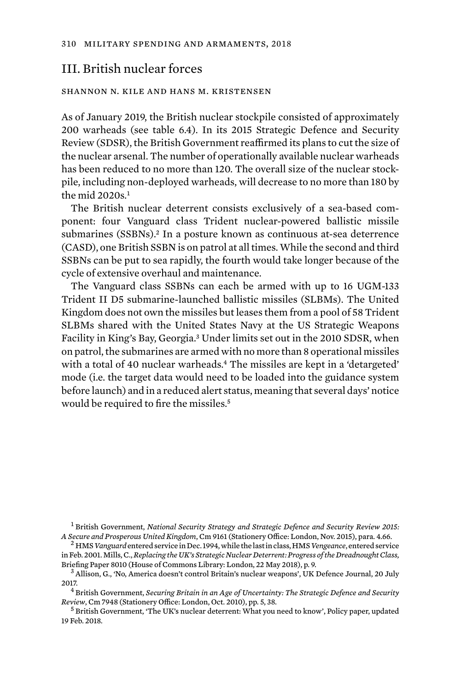## III. British nuclear forces

## shannon n. kile and hans m. kristensen

As of January 2019, the British nuclear stockpile consisted of approximately 200 warheads (see table 6.4). In its 2015 Strategic Defence and Security Review (SDSR), the British Government reaffirmed its plans to cut the size of the nuclear arsenal. The number of operationally available nuclear warheads has been reduced to no more than 120. The overall size of the nuclear stockpile, including non-deployed warheads, will decrease to no more than 180 by the mid  $2020s<sup>1</sup>$ 

The British nuclear deterrent consists exclusively of a sea-based component: four Vanguard class Trident nuclear-powered ballistic missile submarines (SSBNs).<sup>2</sup> In a posture known as continuous at-sea deterrence (CASD), one British SSBN is on patrol at all times. While the second and third SSBNs can be put to sea rapidly, the fourth would take longer because of the cycle of extensive overhaul and maintenance.

The Vanguard class SSBNs can each be armed with up to 16 UGM-133 Trident II D5 submarine-launched ballistic missiles (SLBMs). The United Kingdom does not own the missiles but leases them from a pool of 58 Trident SLBMs shared with the United States Navy at the US Strategic Weapons Facility in King's Bay, Georgia.3 Under limits set out in the 2010 SDSR, when on patrol, the submarines are armed with no more than 8 operational missiles with a total of 40 nuclear warheads.<sup>4</sup> The missiles are kept in a 'detargeted' mode (i.e. the target data would need to be loaded into the guidance system before launch) and in a reduced alert status, meaning that several days' notice would be required to fire the missiles.<sup>5</sup>

<sup>1</sup> British Government, *National Security Strategy and Strategic Defence and Security Review 2015: A Secure and Prosperous United Kingdom*, Cm 9161 (Stationery Office: London, Nov. 2015), para. 4.66. <sup>2</sup> HMS *Vanguard* entered service in Dec. 1994, while the last in class, HMS *Vengeance*, entered service

2017. <sup>4</sup> British Government, *Securing Britain in an Age of Uncertainty: The Strategic Defence and Security* 

<sup>5</sup> British Government, 'The UK's nuclear deterrent: What you need to know', Policy paper, updated 19 Feb. 2018.

in Feb. 2001. Mills, C., *Replacing the UK's Strategic Nuclear Deterrent: Progress of the Dreadnought Class,*  Briefing Paper 8010 (House of Commons Library: London, 22 May 2018), p. 9.<br><sup>3</sup> Allison, G., 'No, America doesn't control Britain's nuclear weapons', UK Defence Journal, 20 July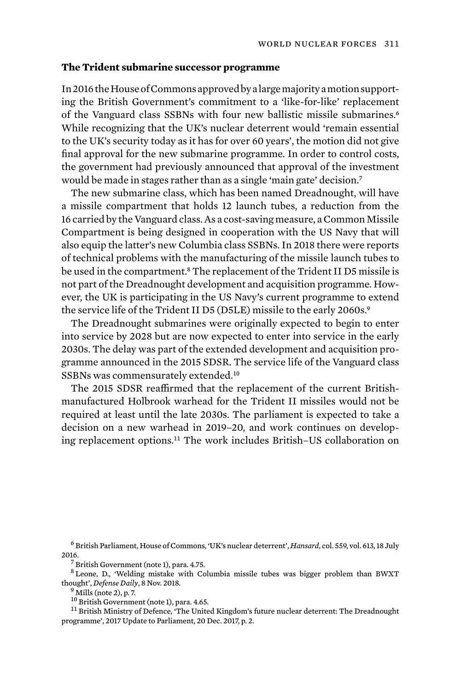## **The Trident submarine successor programme**

In 2016 the House of Commons approved by a large majority a motion supporting the British Government's commitment to a 'like-for-like' replacement of the Vanguard class SSBNs with four new ballistic missile submarines.<sup>6</sup> While recognizing that the UK's nuclear deterrent would 'remain essential to the UK's security today as it has for over 60 years', the motion did not give final approval for the new submarine programme. In order to control costs, the government had previously announced that approval of the investment would be made in stages rather than as a single 'main gate' decision.<sup>7</sup>

The new submarine class, which has been named Dreadnought, will have a missile compartment that holds 12 launch tubes, a reduction from the 16 carried by the Vanguard class. As a cost-saving measure, a Common Missile Compartment is being designed in cooperation with the US Navy that will also equip the latter's new Columbia class SSBNs. In 2018 there were reports of technical problems with the manufacturing of the missile launch tubes to be used in the compartment.8 The replacement of the Trident II D5 missile is not part of the Dreadnought development and acquisition programme. However, the UK is participating in the US Navy's current programme to extend the service life of the Trident II D5 (D5LE) missile to the early 2060s.<sup>9</sup>

The Dreadnought submarines were originally expected to begin to enter into service by 2028 but are now expected to enter into service in the early 2030s. The delay was part of the extended development and acquisition programme announced in the 2015 SDSR. The service life of the Vanguard class SSBNs was commensurately extended.<sup>10</sup>

The 2015 SDSR reaffirmed that the replacement of the current Britishmanufactured Holbrook warhead for the Trident II missiles would not be required at least until the late 2030s. The parliament is expected to take a decision on a new warhead in 2019–20, and work continues on developing replacement options.11 The work includes British–US collaboration on

<sup>6</sup> British Parliament, House of Commons, 'UK's nuclear deterrent', *Hansard*, col. 559, vol. 613, 18 July 2016.<br> $\frac{7}{7}$  British Government (note 1), para. 4.75.

<sup>8</sup> Leone, D., 'Welding mistake with Columbia missile tubes was bigger problem than BWXT thought', *Defense Daily*, 8 Nov. 2018.<br><sup>9</sup> Mills (note 2), p. 7.<br><sup>10</sup> British Government (note 1), para. 4.65.

 $11$  British Ministry of Defence, 'The United Kingdom's future nuclear deterrent: The Dreadnought programme', 2017 Update to Parliament, 20 Dec. 2017, p. 2.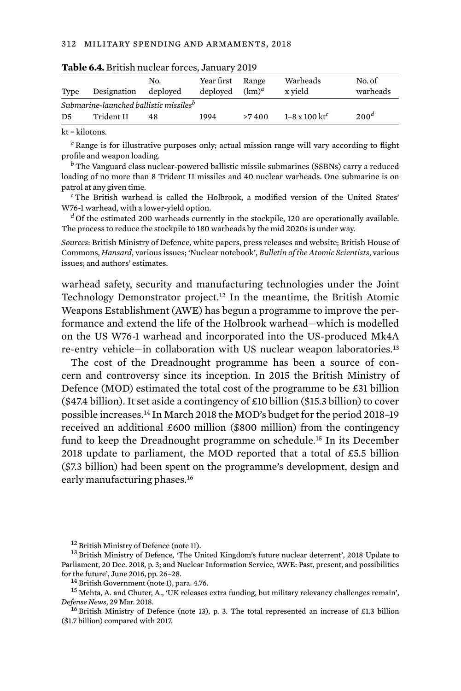| Type                                               | Designation | No.<br>deployed | Year first<br>deploved | Range<br>$(km)^d$ | Warheads<br>x vield              | No. of<br>warheads |  |  |  |  |  |
|----------------------------------------------------|-------------|-----------------|------------------------|-------------------|----------------------------------|--------------------|--|--|--|--|--|
| Submarine-launched ballistic missiles <sup>b</sup> |             |                 |                        |                   |                                  |                    |  |  |  |  |  |
| D5                                                 | Trident II  | 48              | 1994                   | >7400             | $1-8 \times 100$ kt <sup>c</sup> | 200 <sup>d</sup>   |  |  |  |  |  |

|  |  |  |  |  |  |  | Table 6.4. British nuclear forces, January 2019 |  |
|--|--|--|--|--|--|--|-------------------------------------------------|--|
|--|--|--|--|--|--|--|-------------------------------------------------|--|

kt = kilotons.

*<sup>a</sup>* Range is for illustrative purposes only; actual mission range will vary according to flight profile and weapon loading.

*<sup>b</sup>* The Vanguard class nuclear-powered ballistic missile submarines (SSBNs) carry a reduced loading of no more than 8 Trident II missiles and 40 nuclear warheads. One submarine is on patrol at any given time.

*<sup>c</sup>* The British warhead is called the Holbrook, a modified version of the United States' W76-1 warhead, with a lower-yield option.

<sup>d</sup> Of the estimated 200 warheads currently in the stockpile, 120 are operationally available. The process to reduce the stockpile to 180 warheads by the mid 2020s is under way.

*Sources*: British Ministry of Defence, white papers, press releases and website; British House of Commons, *Hansard*, various issues; 'Nuclear notebook', *Bulletin of the Atomic Scientists*, various issues; and authors' estimates.

warhead safety, security and manufacturing technologies under the Joint Technology Demonstrator project.<sup>12</sup> In the meantime, the British Atomic Weapons Establishment (AWE) has begun a programme to improve the performance and extend the life of the Holbrook warhead—which is modelled on the US W76-1 warhead and incorporated into the US-produced Mk4A re-entry vehicle—in collaboration with US nuclear weapon laboratories.<sup>13</sup>

The cost of the Dreadnought programme has been a source of concern and controversy since its inception. In 2015 the British Ministry of Defence (MOD) estimated the total cost of the programme to be £31 billion (\$47.4 billion). It set aside a contingency of £10 billion (\$15.3 billion) to cover possible increases.14 In March 2018 the MOD's budget for the period 2018–19 received an additional £600 million (\$800 million) from the contingency fund to keep the Dreadnought programme on schedule.15 In its December 2018 update to parliament, the MOD reported that a total of  $£5.5$  billion (\$7.3 billion) had been spent on the programme's development, design and early manufacturing phases.<sup>16</sup>

 $^{12}$  British Ministry of Defence (note 11).<br> $^{13}$  British Ministry of Defence, 'The United Kingdom's future nuclear deterrent', 2018 Update to Parliament, 20 Dec. 2018, p. 3; and Nuclear Information Service, 'AWE: Past, present, and possibilities

for the future', June 2016, pp. 26–28.<br><sup>14</sup> British Government (note 1), para. 4.76.<br><sup>15</sup> Mehta, A. and Chuter, A., 'UK releases extra funding, but military relevancy challenges remain',<br>*Defense News*, 29 Mar. 2018.

<sup>&</sup>lt;sup>16</sup> British Ministry of Defence (note 13), p. 3. The total represented an increase of £1.3 billion (\$1.7 billion) compared with 2017.